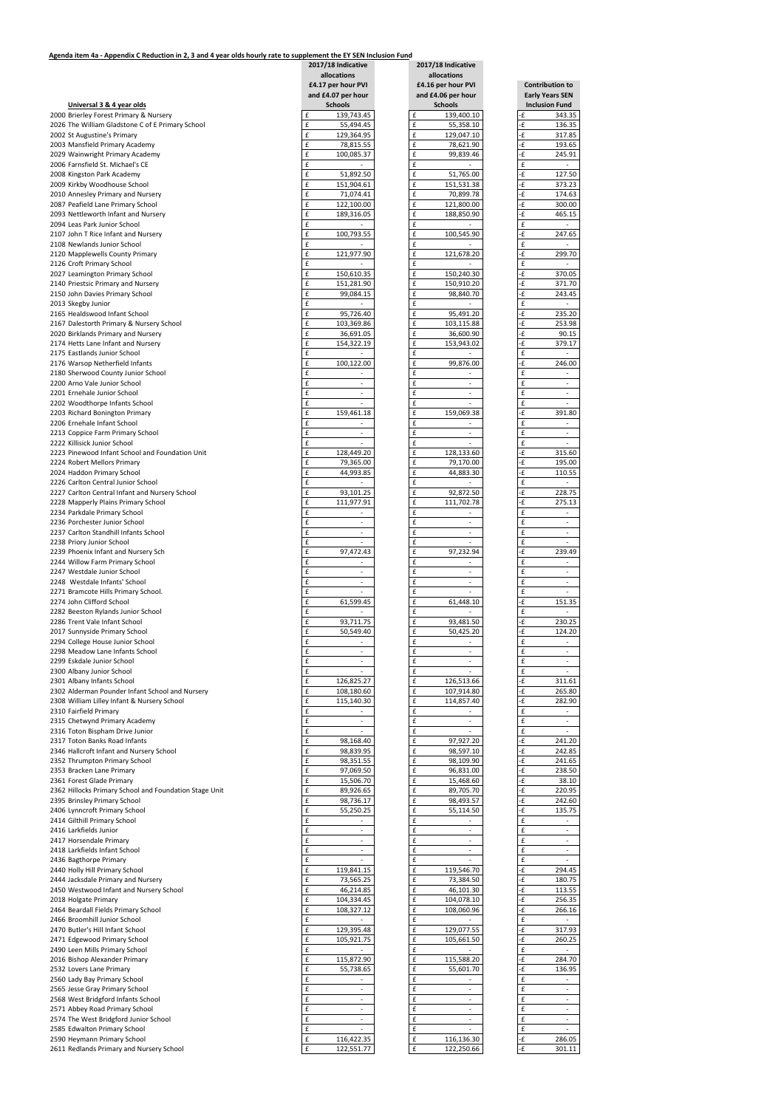## **Agenda item 4a - Appendix C Reduction in 2, 3 and 4 year olds hourly rate to supplement the EY SEN Inclusion Fund**

|          | <b>Early Years SEN</b><br><b>Inclusion Fund</b> |
|----------|-------------------------------------------------|
| ٠£       | 343.35                                          |
| -£<br>-£ | 136.35                                          |
| ٠£       | 317.85<br>193.65                                |
| ٠£       | 245.91                                          |
| £        |                                                 |
| -£       | 127.50                                          |
| ٠£       | 373.23                                          |
| ٠£       | 174.63                                          |
| ٠£       | 300.00                                          |
| -£       | 465.15                                          |
|          |                                                 |
| £        |                                                 |
| ٠£       | 247.65                                          |
| £        |                                                 |
| ٠£       | 299.70                                          |
| £        | $\overline{\phantom{a}}$                        |
| ٠£       | 370.05                                          |
| £        | 371.70                                          |
| ٠£       | 243.45                                          |
| £        |                                                 |
| -£       | 235.20                                          |
| ٠£       | 253.98                                          |
| ٠£       | 90.15                                           |
| ٠£       | 379.17                                          |
| £        |                                                 |
| ٠£       | 246.00                                          |
| £        |                                                 |
| £        |                                                 |
| £        |                                                 |
| £        |                                                 |
| ٠£       | 391.80                                          |
| £        |                                                 |
| £        |                                                 |
| £        |                                                 |
| ٠£       | 315.60                                          |
| ٠£       | 195.00                                          |
| ٠£       | 110.55                                          |
| £        |                                                 |
| -£       | 228.75                                          |
| ٠£       | 275.13                                          |
| £        |                                                 |
| £        |                                                 |
| £        |                                                 |
| £        |                                                 |
| ٠£       | 239.49                                          |
| £        |                                                 |
| £        |                                                 |
| £        |                                                 |
| £        |                                                 |
| ٠£       | 151.35                                          |
| £        |                                                 |
| ٠£       | 230.25                                          |
| -£       | 124.20                                          |
| £        |                                                 |
| £        |                                                 |
| £        |                                                 |
| £        |                                                 |
| ٠£       | 311.61                                          |
| ٠£       | 265.80                                          |
| £        | 282.90                                          |
| £        |                                                 |
| £        |                                                 |
|          |                                                 |
| £<br>٠£  | 241.20                                          |
| ٠£       | 242.85                                          |
| -£       |                                                 |
|          | 241.65                                          |
| -£<br>£  | 238.50<br>38.10                                 |
|          | 220.95                                          |
| ٠£       |                                                 |
| -£       | 242.60                                          |
| -£       | 135.75                                          |
| £        |                                                 |
| £        |                                                 |
| £        |                                                 |
| £        | $\frac{1}{2}$                                   |
| £        |                                                 |
| £        | 294.45                                          |
| £        | 180.75                                          |
| -£       | 113.55                                          |
| -£       | 256.35                                          |
| £        | 266.16                                          |
| £        |                                                 |
| £        | $317.\overline{93}$                             |
| ٠£       | 260.25                                          |
| £        |                                                 |
| £        | 284.70                                          |
|          | 136.95                                          |
| £        |                                                 |
| £        |                                                 |
| £        |                                                 |
| £        |                                                 |
| £        |                                                 |
| £        |                                                 |
| £        |                                                 |
| £        | 286.05<br>301                                   |

|                                                                           | 2017/18 Indicative<br>allocations<br>£4.17 per hour PVI | 2017/18 Indicative<br>allocations<br>£4.16 per hour PVI | <b>Contribution to</b>      |
|---------------------------------------------------------------------------|---------------------------------------------------------|---------------------------------------------------------|-----------------------------|
|                                                                           | and £4.07 per hour                                      | and £4.06 per hour                                      | <b>Early Years SEN</b>      |
| Universal 3 & 4 year olds                                                 | <b>Schools</b>                                          | <b>Schools</b>                                          | <b>Inclusion Fund</b>       |
| 2000 Brierley Forest Primary & Nursery                                    | £                                                       | £                                                       | -£                          |
|                                                                           | 139,743.45                                              | 139,400.10                                              | 343.35                      |
| 2026 The William Gladstone C of E Primary School                          | £                                                       | £                                                       | -£                          |
|                                                                           | 55,494.45                                               | 55,358.10                                               | 136.35                      |
|                                                                           | $\pmb{\mathsf{f}}$                                      | £                                                       | -£                          |
| 2002 St Augustine's Primary<br>2003 Mansfield Primary Academy             | 129,364.95<br>£<br>78,815.55                            | 129,047.10<br>£<br>78,621.90                            | 317.85<br>٠£<br>193.65      |
| 2029 Wainwright Primary Academy                                           | £                                                       | £                                                       | -£                          |
|                                                                           | 100,085.37                                              | 99,839.46                                               | 245.91                      |
| 2006 Farnsfield St. Michael's CE                                          | £                                                       | £                                                       | £                           |
| 2008 Kingston Park Academy                                                | $\pmb{\mathsf{f}}$                                      | £                                                       | -£                          |
|                                                                           | 51,892.50                                               | 51,765.00                                               | 127.50                      |
| 2009 Kirkby Woodhouse School                                              | £                                                       | £                                                       | ٠£                          |
|                                                                           | 151,904.61                                              | 151,531.38                                              | 373.23                      |
| 2010 Annesley Primary and Nursery                                         | £                                                       | £                                                       | -£                          |
|                                                                           | 71,074.41                                               | 70,899.78                                               | 174.63                      |
| 2087 Peafield Lane Primary School                                         | £                                                       | £                                                       | -£                          |
|                                                                           | 122,100.00                                              | 121,800.00                                              | 300.00                      |
| 2093 Nettleworth Infant and Nursery                                       | £                                                       | £                                                       | ٠£                          |
|                                                                           | 189,316.05                                              | 188,850.90                                              | 465.15                      |
| 2094 Leas Park Junior School                                              | £                                                       | £                                                       | £<br>$\sim$                 |
| 2107 John T Rice Infant and Nursery<br>2108 Newlands Junior School        | £<br>100,793.55<br>£                                    | £<br>100,545.90<br>£                                    | ٠£<br>247.65<br>£<br>$\sim$ |
| 2120 Mapplewells County Primary                                           | £                                                       | £                                                       | ٠£                          |
|                                                                           | 121,977.90                                              | 121,678.20                                              | 299.70                      |
| 2126 Croft Primary School                                                 | £                                                       | £                                                       | £                           |
|                                                                           | $\sim$                                                  | $\overline{\phantom{a}}$                                | $\overline{\phantom{a}}$    |
| 2027 Leamington Primary School                                            | £                                                       | £                                                       | -£                          |
|                                                                           | 150,610.35                                              | 150,240.30                                              | 370.05                      |
| 2140 Priestsic Primary and Nursery                                        | £                                                       | £                                                       | -£                          |
|                                                                           | 151,281.90                                              | 150,910.20                                              | 371.70                      |
| 2150 John Davies Primary School                                           | £                                                       | £                                                       | ٠£                          |
|                                                                           | 99,084.15                                               | 98,840.70                                               | 243.45                      |
| 2013 Skegby Junior                                                        | £                                                       | £                                                       | £                           |
| 2165 Healdswood Infant School                                             | £                                                       | £                                                       | -£                          |
|                                                                           | 95,726.40                                               | 95,491.20                                               | 235.20                      |
| 2167 Dalestorth Primary & Nursery School                                  | £                                                       | £                                                       | ٠£                          |
|                                                                           | 103,369.86                                              | 103,115.88                                              | 253.98                      |
| 2020 Birklands Primary and Nursery                                        | £                                                       | £                                                       | -£                          |
|                                                                           | 36,691.05                                               | 36,600.90                                               | 90.15                       |
| 2174 Hetts Lane Infant and Nursery                                        | $\pmb{\mathsf{f}}$                                      | £                                                       | ٠£                          |
|                                                                           | 154,322.19                                              | 153,943.02                                              | 379.17                      |
| 2175 Eastlands Junior School                                              | £                                                       | £                                                       | £                           |
|                                                                           | $\sim$                                                  | $\overline{a}$                                          | $\overline{\phantom{a}}$    |
| 2176 Warsop Netherfield Infants<br>2180 Sherwood County Junior School     | £<br>100,122.00<br>£                                    | £<br>99,876.00<br>£                                     | -£<br>246.00<br>£           |
| 2200 Arno Vale Junior School                                              | £                                                       | £                                                       | £                           |
|                                                                           | $\blacksquare$                                          | $\sim$                                                  | $\sim$                      |
| 2201 Ernehale Junior School                                               | £                                                       | £                                                       | £                           |
|                                                                           | $\overline{\phantom{a}}$                                | $\sim$                                                  | $\overline{\phantom{a}}$    |
| 2202 Woodthorpe Infants School                                            | £                                                       | £<br>$\overline{a}$                                     | £<br>$\sim$                 |
| 2203 Richard Bonington Primary                                            | £                                                       | £                                                       | ٠£                          |
|                                                                           | 159,461.18                                              | 159,069.38                                              | 391.80                      |
| 2206 Ernehale Infant School                                               | £                                                       | £                                                       | £                           |
|                                                                           | $\blacksquare$                                          | $\blacksquare$                                          | $\blacksquare$              |
| 2213 Coppice Farm Primary School                                          | £                                                       | £                                                       | £                           |
|                                                                           | $\overline{\phantom{a}}$                                | $\overline{\phantom{a}}$                                | $\overline{\phantom{a}}$    |
| 2222 Killisick Junior School                                              | £                                                       | £                                                       | £                           |
| 2223 Pinewood Infant School and Foundation Unit                           | £                                                       | £                                                       | -£                          |
|                                                                           | 128,449.20                                              | 128,133.60                                              | 315.60                      |
| 2224 Robert Mellors Primary                                               | £                                                       | £                                                       | ٠£                          |
|                                                                           | 79,365.00                                               | 79,170.00                                               | 195.00                      |
| 2024 Haddon Primary School                                                | £                                                       | £                                                       | -£                          |
|                                                                           | 44,993.85                                               | 44,883.30                                               | 110.55                      |
| 2226 Carlton Central Junior School                                        | £                                                       | £                                                       | £                           |
| 2227 Carlton Central Infant and Nursery School                            | £                                                       | £                                                       | -£                          |
|                                                                           | 93,101.25                                               | 92,872.50                                               | 228.75                      |
| 2228 Mapperly Plains Primary School                                       | £                                                       | £                                                       | -£                          |
|                                                                           | 111,977.91                                              | 111,702.78                                              | 275.13                      |
| 2234 Parkdale Primary School                                              | £                                                       | £                                                       | £                           |
|                                                                           | $\sim$                                                  | $\blacksquare$                                          | $\equiv$                    |
| 2236 Porchester Junior School                                             | £                                                       | £                                                       | £                           |
|                                                                           | $\overline{\phantom{a}}$                                | $\sim$                                                  | $\overline{\phantom{a}}$    |
| 2237 Carlton Standhill Infants School                                     | $\pmb{\mathsf{f}}$<br>$\blacksquare$                    | £<br>$\blacksquare$                                     | £                           |
| 2238 Priory Junior School                                                 | £                                                       | £                                                       | £                           |
| 2239 Phoenix Infant and Nursery Sch                                       | £                                                       | £                                                       | ٠£                          |
|                                                                           | 97,472.43                                               | 97,232.94                                               | 239.49                      |
| 2244 Willow Farm Primary School                                           | £                                                       | £<br>$\overline{\phantom{a}}$                           | £                           |
| 2247 Westdale Junior School<br>2248 Westdale Infants' School              | £<br>£<br>$\sim$                                        | £<br>£<br>$\blacksquare$                                | £<br>£                      |
| 2271 Bramcote Hills Primary School.                                       | £                                                       | £                                                       | £                           |
| 2274 John Clifford School                                                 | £                                                       | £                                                       | -£                          |
|                                                                           | 61,599.45                                               | 61,448.10                                               | 151.35                      |
| 2282 Beeston Rylands Junior School                                        | £                                                       | £                                                       | £                           |
| 2286 Trent Vale Infant School                                             | $\pmb{\mathsf{f}}$                                      | £                                                       | -£                          |
|                                                                           | 93,711.75                                               | 93,481.50                                               | 230.25                      |
| 2017 Sunnyside Primary School                                             | £                                                       | £                                                       | ٠£                          |
|                                                                           | 50,549.40                                               | 50,425.20                                               | 124.20                      |
| 2294 College House Junior School                                          | £                                                       | £                                                       | £                           |
| 2298 Meadow Lane Infants School                                           | £                                                       | £                                                       | £                           |
|                                                                           | $\overline{\phantom{a}}$                                | $\sim$                                                  | $\overline{\phantom{a}}$    |
| 2299 Eskdale Junior School                                                | £                                                       | £                                                       | £                           |
| 2300 Albany Junior School                                                 | £                                                       | £                                                       | £                           |
|                                                                           | $\sim$                                                  | $\overline{a}$                                          | $\blacksquare$              |
| 2301 Albany Infants School                                                | £                                                       | £                                                       | -£                          |
|                                                                           | 126,825.27                                              | 126,513.66                                              | 311.61                      |
| 2302 Alderman Pounder Infant School and Nursery                           | £                                                       | £                                                       | -£                          |
|                                                                           | 108,180.60                                              | 107,914.80                                              | 265.80                      |
| 2308 William Lilley Infant & Nursery School                               | £                                                       | £                                                       | -£                          |
|                                                                           | 115,140.30                                              | 114,857.40                                              | 282.90                      |
| 2310 Fairfield Primary                                                    | £                                                       | £                                                       | £                           |
| 2315 Chetwynd Primary Academy                                             | £                                                       | £                                                       | £                           |
|                                                                           | $\overline{\phantom{a}}$                                | $\overline{\phantom{a}}$                                | $\overline{\phantom{a}}$    |
| 2316 Toton Bispham Drive Junior                                           | £                                                       | £                                                       | £                           |
| 2317 Toton Banks Road Infants                                             | £<br>98,168.40<br>£                                     | £<br>97,927.20                                          | -£<br>241.20<br>-£          |
| 2346 Hallcroft Infant and Nursery School<br>2352 Thrumpton Primary School | 98,839.95<br>£<br>98,351.55                             | £<br>98,597.10<br>£<br>98,109.90                        | 242.85<br>-£<br>241.65      |
| 2353 Bracken Lane Primary                                                 | £                                                       | £                                                       | -£                          |
|                                                                           | 97,069.50                                               | 96,831.00                                               | 238.50                      |
| 2361 Forest Glade Primary                                                 | £                                                       | £                                                       | -£                          |
|                                                                           | 15,506.70                                               | 15,468.60                                               | 38.10                       |
| 2362 Hillocks Primary School and Foundation Stage Unit                    | £                                                       | £                                                       | -£                          |
|                                                                           | 89,926.65                                               | 89,705.70                                               | 220.95                      |
| 2395 Brinsley Primary School                                              | £                                                       | £                                                       | -£                          |
|                                                                           | 98,736.17                                               | 98,493.57                                               | 242.60                      |
| 2406 Lynncroft Primary School                                             | £                                                       | £                                                       | -£                          |
|                                                                           | 55,250.25                                               | 55,114.50                                               | 135.75                      |
| 2414 Gilthill Primary School                                              | £                                                       | £                                                       | £                           |
| 2416 Larkfields Junior                                                    | £                                                       | £                                                       | £                           |
|                                                                           | $\blacksquare$                                          | $\blacksquare$                                          | $\sim$                      |
| 2417 Horsendale Primary                                                   | £                                                       | £                                                       | £                           |
|                                                                           | $\overline{\phantom{a}}$                                | $\overline{\phantom{a}}$                                | $\overline{\phantom{a}}$    |
| 2418 Larkfields Infant School                                             | £                                                       | £<br>$\overline{\phantom{a}}$                           | £                           |
| 2436 Bagthorpe Primary                                                    | £                                                       | £<br>$\overline{\phantom{a}}$                           | £                           |
| 2440 Holly Hill Primary School                                            | £                                                       | £                                                       | ٠£                          |
|                                                                           | 119,841.15                                              | 119,546.70                                              | 294.45                      |
| 2444 Jacksdale Primary and Nursery                                        | £                                                       | £                                                       | -£                          |
|                                                                           | 73,565.25                                               | 73,384.50                                               | 180.75                      |
| 2450 Westwood Infant and Nursery School                                   | £                                                       | £                                                       | -£                          |
|                                                                           | 46,214.85                                               | 46,101.30                                               | 113.55                      |
| 2018 Holgate Primary                                                      | 104,334.45                                              | 104,078.10                                              | 256.35                      |
|                                                                           | £                                                       | £                                                       | -£                          |
| 2464 Beardall Fields Primary School                                       | $\pmb{\mathsf{f}}$                                      | £                                                       | -£                          |
|                                                                           | 108,327.12                                              | 108,060.96                                              | 266.16                      |
| 2466 Broomhill Junior School                                              | £                                                       | £                                                       | £<br>$\sim$                 |
| 2470 Butler's Hill Infant School                                          | $\pmb{\mathsf{f}}$                                      | £                                                       | -£                          |
|                                                                           | 129,395.48                                              | 129,077.55                                              | 317.93                      |
| 2471 Edgewood Primary School                                              | $\pmb{\mathsf{f}}$                                      | £                                                       | -£                          |
|                                                                           | 105,921.75                                              | 105,661.50                                              | 260.25                      |
| 2490 Leen Mills Primary School                                            | $\pmb{\mathsf{f}}$                                      | £                                                       | £                           |
| 2016 Bishop Alexander Primary                                             | £                                                       | £                                                       | ٠£                          |
|                                                                           | 115,872.90                                              | 115,588.20                                              | 284.70                      |
| 2532 Lovers Lane Primary                                                  | £                                                       | £                                                       | -£                          |
|                                                                           | 55,738.65                                               | 55,601.70                                               | 136.95                      |
| 2560 Lady Bay Primary School                                              | £                                                       | £                                                       | £                           |
| 2565 Jesse Gray Primary School                                            | £                                                       | £                                                       | £                           |
|                                                                           | $\blacksquare$                                          | $\overline{\phantom{a}}$                                | $\overline{\phantom{a}}$    |
| 2568 West Bridgford Infants School                                        | £                                                       | £                                                       | £                           |
| 2571 Abbey Road Primary School                                            | £                                                       | £                                                       | £                           |
|                                                                           | $\blacksquare$                                          | $\equiv$                                                | $\blacksquare$              |
| 2574 The West Bridgford Junior School                                     | $\pmb{\mathsf{f}}$                                      | £                                                       | £                           |
|                                                                           | $\overline{\phantom{a}}$                                | $\blacksquare$                                          | $\sim$                      |
| 2585 Edwalton Primary School                                              | $\pmb{\mathsf{f}}$                                      | £                                                       | £                           |
|                                                                           | 116,422.35                                              | 116,136.30                                              | 286.05                      |
| 2590 Heymann Primary School<br>2611 Redlands Primary and Nursery School   | $\pmb{\mathsf{f}}$<br>£<br>122,551.77                   | £<br>£<br>122,250.66                                    | -£<br>٠£<br>301.11          |
|                                                                           |                                                         |                                                         |                             |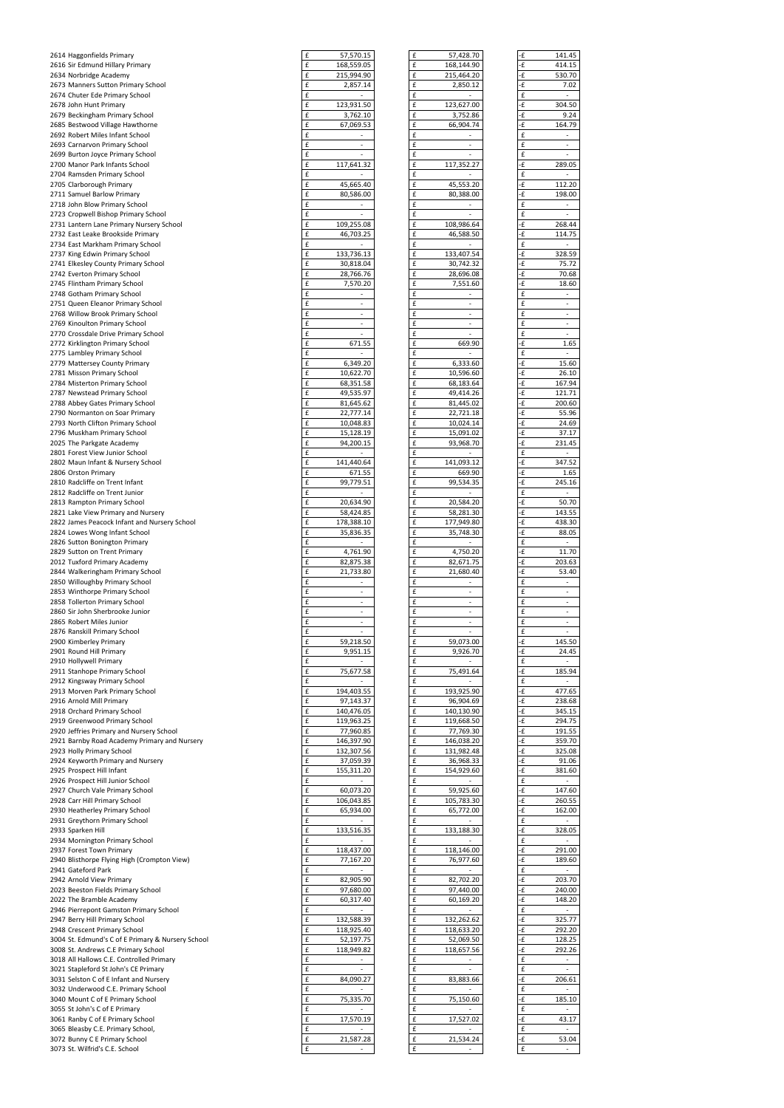| 2614 Haggonfields Primary                    | £<br>57,570.15                                 | £<br>57,428.70                                 | -£ | 141.45                   |
|----------------------------------------------|------------------------------------------------|------------------------------------------------|----|--------------------------|
| 2616 Sir Edmund Hillary Primary              | £<br>168,559.05                                | £<br>168,144.90                                | -£ | 414.15                   |
| 2634 Norbridge Academy                       | $\pmb{\mathsf{f}}$<br>215,994.90               | £<br>215,464.20                                | ٠£ | 530.70                   |
| 2673 Manners Sutton Primary School           | £<br>2,857.14                                  | £<br>2,850.12                                  | -£ | 7.02                     |
| 2674 Chuter Ede Primary School               | $\pmb{\mathsf{f}}$                             | $\pmb{\mathsf{f}}$                             | £  | $\overline{\phantom{a}}$ |
| 2678 John Hunt Primary                       | £<br>123,931.50                                | £<br>123,627.00                                | ٠£ | 304.50                   |
| 2679 Beckingham Primary School               | $\pmb{\mathsf{f}}$<br>3,762.10                 | £<br>3,752.86                                  | ٠£ | 9.24                     |
| 2685 Bestwood Village Hawthorne              | $\pmb{\mathsf{f}}$<br>67,069.53                | £<br>66,904.74                                 | ٠£ | 164.79                   |
| 2692 Robert Miles Infant School              | £<br>$\overline{\phantom{a}}$                  | £                                              | £  | $\blacksquare$           |
| 2693 Carnarvon Primary School                | £<br>$\overline{\phantom{a}}$                  | £<br>$\overline{\phantom{a}}$                  | £  | $\overline{\phantom{a}}$ |
| 2699 Burton Joyce Primary School             | £                                              | £                                              | £  | $\overline{\phantom{a}}$ |
| 2700 Manor Park Infants School               | $\pmb{\mathsf{f}}$<br>117,641.32               | $\pmb{\mathsf{f}}$<br>117,352.27               | ٠£ | 289.05                   |
| 2704 Ramsden Primary School                  | $\pmb{\mathsf{f}}$                             | £                                              | £  | $\blacksquare$           |
| 2705 Clarborough Primary                     | $\pmb{\mathsf{f}}$<br>45,665.40                | $\pmb{\mathsf{f}}$<br>45,553.20                | ٠£ | 112.20                   |
| 2711 Samuel Barlow Primary                   | $\pmb{\mathsf{f}}$<br>80,586.00                | $\pmb{\mathsf{f}}$<br>80,388.00                | ٠£ | 198.00                   |
| 2718 John Blow Primary School                | $\pmb{\mathsf{f}}$                             | £                                              | £  |                          |
| 2723 Cropwell Bishop Primary School          | £                                              | £                                              | £  |                          |
| 2731 Lantern Lane Primary Nursery School     | £<br>109,255.08                                | £<br>108,986.64                                | -£ | 268.44                   |
| 2732 East Leake Brookside Primary            | £<br>46,703.25                                 | £<br>46,588.50                                 | ٠£ | 114.75                   |
| 2734 East Markham Primary School             | £                                              | £                                              | £  | $\blacksquare$           |
| 2737 King Edwin Primary School               | $\pmb{\mathsf{f}}$<br>133,736.13               | $\pmb{\mathsf{f}}$<br>133,407.54               | ٠£ | 328.59                   |
| 2741 Elkesley County Primary School          | $\pmb{\mathsf{f}}$<br>30,818.04                | $\pmb{\mathsf{f}}$<br>30,742.32                | ٠£ | 75.72                    |
| 2742 Everton Primary School                  | $\pmb{\mathsf{f}}$<br>28,766.76                | £<br>28,696.08                                 | ٠£ | 70.68                    |
| 2745 Flintham Primary School                 | $\pmb{\mathsf{f}}$<br>7,570.20                 | £<br>7,551.60                                  | ٠£ | 18.60                    |
| 2748 Gotham Primary School                   | £<br>$\overline{\phantom{a}}$                  | £                                              | £  | $\overline{\phantom{a}}$ |
| 2751 Queen Eleanor Primary School            | £<br>$\overline{\phantom{a}}$                  | £                                              | £  |                          |
| 2768 Willow Brook Primary School             | £<br>$\overline{\phantom{a}}$                  | £<br>$\overline{\phantom{a}}$                  | £  | $\overline{\phantom{a}}$ |
| 2769 Kinoulton Primary School                | $\pmb{\mathsf{f}}$<br>$\overline{\phantom{a}}$ | $\pmb{\mathsf{f}}$<br>$\overline{\phantom{m}}$ | £  |                          |
| 2770 Crossdale Drive Primary School          | $\pmb{\mathsf{f}}$<br>$\overline{\phantom{a}}$ | $\pmb{\mathsf{f}}$                             | £  | $\overline{\phantom{a}}$ |
| 2772 Kirklington Primary School              | $\pmb{\mathsf{f}}$<br>671.55                   | $\pmb{\mathsf{f}}$<br>669.90                   | ٠£ | 1.65                     |
| 2775 Lambley Primary School                  | $\pmb{\mathsf{f}}$                             | $\pmb{\mathsf{f}}$                             | £  | $\blacksquare$           |
| 2779 Mattersey County Primary                | $\pmb{\mathsf{f}}$<br>6,349.20                 | £<br>6,333.60                                  | -£ | 15.60                    |
| 2781 Misson Primary School                   | $\pmb{\mathsf{f}}$<br>10,622.70                | $\pmb{\mathsf{f}}$<br>10,596.60                | ٠£ | 26.10                    |
| 2784 Misterton Primary School                | £<br>68,351.58                                 | £<br>68,183.64                                 | -£ | 167.94                   |
| 2787 Newstead Primary School                 | £<br>49,535.97                                 | £<br>49,414.26                                 | ٠£ | 121.71                   |
| 2788 Abbey Gates Primary School              | £<br>81,645.62                                 | £<br>81,445.02                                 | ٠£ | 200.60                   |
| 2790 Normanton on Soar Primary               | $\pmb{\mathsf{f}}$<br>22,777.14                | $\pmb{\mathsf{f}}$<br>22,721.18                | ٠£ | 55.96                    |
| 2793 North Clifton Primary School            | $\pmb{\mathsf{f}}$<br>10,048.83                | $\pmb{\mathsf{f}}$<br>10,024.14                | ٠£ | 24.69                    |
| 2796 Muskham Primary School                  | $\pmb{\mathsf{f}}$<br>15,128.19                | £<br>15,091.02                                 | -£ | 37.17                    |
| 2025 The Parkgate Academy                    | $\pmb{\mathsf{f}}$<br>94,200.15                | £<br>93,968.70                                 | ٠£ | 231.45                   |
| 2801 Forest View Junior School               | £                                              | £                                              | £  | $\blacksquare$           |
| 2802 Maun Infant & Nursery School            | £<br>141,440.64                                | £<br>141,093.12                                | ٠£ | 347.52                   |
| 2806 Orston Primary                          | £<br>671.55                                    | £<br>669.90                                    | -£ | 1.65                     |
| 2810 Radcliffe on Trent Infant               | £<br>99,779.51                                 | £<br>99,534.35                                 | ٠£ | 245.16                   |
| 2812 Radcliffe on Trent Junior               | £<br>$\blacksquare$                            | £                                              | £  | $\sim$                   |
| 2813 Rampton Primary School                  | $\pmb{\mathsf{f}}$<br>20,634.90                | $\pmb{\mathsf{f}}$<br>20,584.20                | ٠£ | 50.70                    |
| 2821 Lake View Primary and Nursery           | $\pmb{\mathsf{f}}$<br>58,424.85                | $\pmb{\mathsf{f}}$<br>58,281.30                | ٠£ | 143.55                   |
| 2822 James Peacock Infant and Nursery School | $\pmb{\mathsf{f}}$<br>178,388.10               | £<br>177,949.80                                | ٠£ | 438.30                   |
| 2824 Lowes Wong Infant School                | $\pmb{\mathsf{f}}$<br>35,836.35                | £<br>35,748.30                                 | ٠£ | 88.05                    |
| 2826 Sutton Bonington Primary                | £                                              | £                                              | £  | $\sim$                   |
| 2829 Sutton on Trent Primary                 | £<br>4,761.90                                  | £<br>4,750.20                                  | ٠£ | 11.70                    |
| 2012 Tuxford Primary Academy                 | £<br>82,875.38                                 | £<br>82,671.75                                 | -£ | 203.63                   |
| 2844 Walkeringham Primary School             | $\pmb{\mathsf{f}}$<br>21,733.80                | £<br>21,680.40                                 | ٠£ | 53.40                    |
| 2850 Willoughby Primary School               | $\pmb{\mathsf{f}}$<br>$\overline{\phantom{a}}$ | $\pmb{\mathsf{f}}$                             | £  | $\blacksquare$           |
| 2853 Winthorpe Primary School                | $\pmb{\mathsf{f}}$<br>$\overline{\phantom{a}}$ | $\pmb{\mathsf{f}}$<br>$\overline{\phantom{a}}$ | £  | $\blacksquare$           |
| 2858 Tollerton Primary School                | $\pmb{\mathsf{f}}$<br>$\blacksquare$           | $\pmb{\mathsf{f}}$                             | £  | $\overline{\phantom{a}}$ |
| 2860 Sir John Sherbrooke Junior              | $\pmb{\mathsf{f}}$<br>$\overline{\phantom{a}}$ | £<br>$\overline{\phantom{a}}$                  | £  | $\overline{\phantom{a}}$ |
| 2865 Robert Miles Junior                     | $\pmb{\mathsf{f}}$<br>$\blacksquare$           | £<br>$\overline{\phantom{a}}$                  | £  | $\sim$                   |
| 2876 Ranskill Primary School                 | £<br>$\overline{\phantom{a}}$                  | £                                              | £  | $\overline{\phantom{a}}$ |
| 2900 Kimberley Primary                       | £<br>59,218.50                                 | £<br>59,073.00                                 | ٠£ | 145.50                   |
| 2901 Round Hill Primary                      | £<br>9,951.15                                  | £<br>9,926.70                                  | -£ | 24.45                    |
| 2910 Hollywell Primary                       | $\pmb{\mathsf{f}}$                             | £                                              | £  |                          |
| 2911 Stanhope Primary School                 | $\pmb{\mathsf{f}}$<br>75,677.58                | $\pmb{\mathsf{f}}$<br>75,491.64                | ٠£ | 185.94                   |
| 2912 Kingsway Primary School                 | $\pmb{\mathsf{f}}$                             | $\pmb{\mathsf{f}}$                             | £  | $\overline{\phantom{a}}$ |
| 2913 Morven Park Primary School              | $\pmb{\mathsf{f}}$<br>194,403.55               | $\pmb{\mathsf{f}}$<br>193,925.90               | ٠£ | 477.65                   |
| 2916 Arnold Mill Primary                     | £<br>97,143.37                                 | £<br>96,904.69                                 | ٠£ | 238.68                   |
| 2918 Orchard Primary School                  | £<br>140,476.05                                | £<br>140,130.90                                | ٠£ | 345.15                   |
| 2919 Greenwood Primary School                | £<br>119,963.25                                | £<br>119,668.50                                | ٠£ | 294.75                   |
| 2920 Jeffries Primary and Nursery School     | £<br>77,960.85                                 | £<br>77,769.30                                 | ٠£ | 191.55                   |
| 2921 Barnby Road Academy Primary and Nursery | £<br>146,397.90                                | £<br>146,038.20                                | -£ | 359.70                   |
|                                              | $\pmb{\mathsf{f}}$<br>132,307.56               | $\pmb{\mathsf{f}}$<br>131,982.48               | ٠£ | 325.08                   |
| 2923 Holly Primary School                    | $\pmb{\mathsf{f}}$                             | $\pmb{\mathsf{f}}$<br>36,968.33                | ٠£ |                          |
| 2924 Keyworth Primary and Nursery            | 37,059.39<br>$\pmb{\mathsf{f}}$                | £<br>154,929.60                                | ٠£ | 91.06                    |
| 2925 Prospect Hill Infant                    | 155,311.20<br>$\pmb{\mathsf{f}}$               | $\pmb{\mathsf{f}}$                             | £  | 381.60<br>$\blacksquare$ |
| 2926 Prospect Hill Junior School             |                                                |                                                |    |                          |
| 2927 Church Vale Primary School              | £<br>60,073.20                                 | £<br>59,925.60                                 | ٠£ | 147.60                   |
| 2928 Carr Hill Primary School                | £<br>106,043.85                                | £<br>105,783.30                                | ٠£ | 260.55                   |
| 2930 Heatherley Primary School               | £<br>65,934.00                                 | £<br>65,772.00                                 | -£ | 162.00                   |
| 2931 Greythorn Primary School                | $\pmb{\mathsf{f}}$                             | £                                              | £  |                          |
| 2933 Sparken Hill                            | £<br>133,516.35                                | £<br>133,188.30                                | ٠£ | 328.05                   |

| £ | 57,570.15               |
|---|-------------------------|
| £ | 168,559.05              |
| £ | 215,994.90              |
| £ | 2,857.14                |
| £ |                         |
| £ | 123,931.50              |
| £ | 3,762.10                |
| £ | 67,069.53               |
|   |                         |
| £ |                         |
| £ |                         |
| £ |                         |
| £ | 117,641.32              |
| £ |                         |
|   |                         |
| £ | 45,665.40               |
| £ | 80,586.00               |
| £ |                         |
| £ |                         |
| £ | 109,255.08              |
| £ |                         |
|   | 46,703.25               |
| £ |                         |
| £ | 133,736.13              |
| £ | 30,818.04               |
| £ | 28,766.76               |
| £ | 7,570.20                |
|   |                         |
| £ |                         |
| £ |                         |
| £ |                         |
| £ |                         |
| £ |                         |
| £ |                         |
|   | 671.55                  |
| £ |                         |
| £ | 6,349.20                |
| £ | 10,622.70               |
| £ | 68,351.58               |
| £ | 49,535.97               |
|   |                         |
| £ | 81,645.62               |
| £ | 22,777.14               |
| £ | 10,048.83               |
| £ | 15,128.19               |
| £ | 94,200.15               |
|   |                         |
| £ |                         |
| £ | 141,440.64              |
| £ | 671.55                  |
| £ | 99,779.51               |
| £ |                         |
|   |                         |
| £ | 20,634.90               |
| £ | 58,424.85               |
| £ | 178,388.10              |
| £ | 35,836.35               |
|   |                         |
|   |                         |
| £ |                         |
| £ | 4,761.90                |
| £ | 82,875.38               |
| £ | 21,733.80               |
| £ |                         |
| £ |                         |
|   |                         |
| £ |                         |
| £ |                         |
| £ |                         |
| £ |                         |
| £ | 59,218.50               |
| £ | 9,951.15                |
| £ |                         |
|   |                         |
| £ | 75,677.58               |
| £ |                         |
| £ | 194,403.55              |
| £ | <u>97,143.37</u>        |
| £ | 140,476.05              |
| £ | 119,963.25              |
| £ |                         |
| £ | 77,960.85               |
|   | 146,397.90              |
| £ | 132,307.56              |
| £ | 37,059.39               |
| £ | 155,311.20              |
| £ |                         |
| £ |                         |
| £ | 60,073.20<br>106,043.85 |
|   |                         |
| £ | 65,934.00               |
| £ |                         |
| £ | 133,516.35              |
| £ |                         |
| £ | 118,437.00              |
| £ | 77,167.20               |
| £ |                         |
|   |                         |
| £ | 82,905.90               |
| £ | 97,680.00               |
| £ | 60,317.40               |
| £ |                         |
| £ | 132,588.39              |
| £ |                         |
| £ | 118,925.40              |
|   | 52,197.75               |
| £ | 118,949.82              |
| £ |                         |
| £ |                         |
| £ | 84.090.27               |
| £ |                         |
| £ | 75,335.70               |
| £ |                         |
| £ | 17,570.19               |
| £ |                         |
| £ | 21,587.28               |

| 2934 Mornington Primary School                    |            |   |            |    |        |
|---------------------------------------------------|------------|---|------------|----|--------|
| 2937 Forest Town Primary                          | 118,437.00 | £ | 118,146.00 |    | 291.00 |
| 2940 Blisthorpe Flying High (Crompton View)       | 77,167.20  |   | 76,977.60  |    | 189.60 |
| 2941 Gateford Park                                |            |   |            |    |        |
| 2942 Arnold View Primary                          | 82,905.90  | £ | 82,702.20  | ٠£ | 203.70 |
| 2023 Beeston Fields Primary School                | 97,680.00  | £ | 97,440.00  | ٠£ | 240.00 |
| 2022 The Bramble Academy                          | 60,317.40  | £ | 60,169.20  |    | 148.20 |
| 2946 Pierrepont Gamston Primary School            |            | £ |            |    |        |
| 2947 Berry Hill Primary School                    | 132,588.39 | £ | 132,262.62 | ٠£ | 325.77 |
| 2948 Crescent Primary School                      | 118,925.40 | £ | 118,633.20 | ٠£ | 292.20 |
| 3004 St. Edmund's C of E Primary & Nursery School | 52,197.75  |   | 52,069.50  | ٠£ | 128.25 |
| 3008 St. Andrews C.E Primary School               | 118,949.82 |   | 118,657.56 |    | 292.26 |
| 3018 All Hallows C.E. Controlled Primary          |            |   |            |    |        |
| 3021 Stapleford St John's CE Primary              |            |   |            | £  |        |
| 3031 Selston C of E Infant and Nursery            | 84,090.27  |   | 83,883.66  |    | 206.61 |
| 3032 Underwood C.E. Primary School                |            |   |            |    |        |
| 3040 Mount C of E Primary School                  | 75,335.70  |   | 75,150.60  |    | 185.10 |
| 3055 St John's C of E Primary                     |            |   |            |    |        |
| 3061 Ranby C of E Primary School                  | 17,570.19  |   | 17,527.02  |    | 43.17  |
| 3065 Bleasby C.E. Primary School,                 |            |   |            |    |        |
| 3072 Bunny C E Primary School                     | 21,587.28  | £ | 21,534.24  |    | 53.04  |
| 3073 St. Wilfrid's C.E. School                    |            | £ |            |    |        |

| .15<br>.05<br>.90<br>.14<br>.50                                                                                                                                                                        |                               |                                   |
|--------------------------------------------------------------------------------------------------------------------------------------------------------------------------------------------------------|-------------------------------|-----------------------------------|
|                                                                                                                                                                                                        |                               |                                   |
|                                                                                                                                                                                                        | £<br>57,428.70                | -£<br>141.45                      |
|                                                                                                                                                                                                        | £<br>168,144.90               | -£<br>414.15                      |
|                                                                                                                                                                                                        | £<br>215,464.20               | 530.70<br>-£                      |
|                                                                                                                                                                                                        |                               |                                   |
|                                                                                                                                                                                                        | £<br>2,850.12                 | 7.02<br>-£                        |
|                                                                                                                                                                                                        | £                             | £                                 |
|                                                                                                                                                                                                        |                               | 304.50                            |
|                                                                                                                                                                                                        | £<br>123,627.00               | -£                                |
| .10                                                                                                                                                                                                    | £<br>3,752.86                 | -£<br>9.24                        |
| .53                                                                                                                                                                                                    | £<br>66,904.74                | -£<br>164.79                      |
|                                                                                                                                                                                                        |                               |                                   |
|                                                                                                                                                                                                        | £                             | £                                 |
|                                                                                                                                                                                                        | £                             | £                                 |
|                                                                                                                                                                                                        |                               |                                   |
|                                                                                                                                                                                                        | £                             | £<br>$\overline{a}$               |
| .32                                                                                                                                                                                                    | £<br>117,352.27               | -£<br>289.05                      |
|                                                                                                                                                                                                        |                               |                                   |
|                                                                                                                                                                                                        | £                             | £<br>-                            |
| .40                                                                                                                                                                                                    | £<br>45,553.20                | -£<br>112.20                      |
|                                                                                                                                                                                                        |                               |                                   |
| .00                                                                                                                                                                                                    | £<br>80,388.00                | -£<br>198.00                      |
|                                                                                                                                                                                                        | £                             | £<br>$\overline{\phantom{0}}$     |
|                                                                                                                                                                                                        |                               |                                   |
|                                                                                                                                                                                                        | £                             | £<br>$\overline{\phantom{0}}$     |
| .08                                                                                                                                                                                                    | £<br>108,986.64               | -£<br>268.44                      |
| .25                                                                                                                                                                                                    | £                             | -£<br>114.75                      |
|                                                                                                                                                                                                        | 46,588.50                     |                                   |
|                                                                                                                                                                                                        | £                             | £<br>-                            |
| .13                                                                                                                                                                                                    | £<br>133,407.54               | 328.59<br>-£                      |
|                                                                                                                                                                                                        |                               |                                   |
| .04                                                                                                                                                                                                    | £<br>30,742.32                | -£<br>75.72                       |
| .76                                                                                                                                                                                                    | £<br>28,696.08                | -£<br>70.68                       |
|                                                                                                                                                                                                        | £                             | -£                                |
| .20                                                                                                                                                                                                    | 7,551.60                      | 18.60                             |
|                                                                                                                                                                                                        | £                             | £<br>-                            |
|                                                                                                                                                                                                        | £                             | £                                 |
|                                                                                                                                                                                                        |                               |                                   |
|                                                                                                                                                                                                        | £                             | £                                 |
|                                                                                                                                                                                                        | £                             | £                                 |
|                                                                                                                                                                                                        | £                             | £<br>$\overline{\phantom{0}}$     |
|                                                                                                                                                                                                        |                               |                                   |
| 55                                                                                                                                                                                                     | £<br>669.90                   | -£<br>1.65                        |
|                                                                                                                                                                                                        | £<br>٠                        | £<br>-                            |
| .20                                                                                                                                                                                                    | £<br>6,333.60                 | -£<br>15.60                       |
|                                                                                                                                                                                                        |                               |                                   |
| .70                                                                                                                                                                                                    | £<br>10,596.60                | -£<br>26.10                       |
| .58                                                                                                                                                                                                    | £<br>68,183.64                | 167.94<br>-£                      |
|                                                                                                                                                                                                        |                               |                                   |
| 97.                                                                                                                                                                                                    | £<br>49,414.26                | -£<br>121.71                      |
| .62                                                                                                                                                                                                    | £<br>81,445.02                | -£<br>200.60                      |
| .14                                                                                                                                                                                                    | £                             | -£<br>55.96                       |
|                                                                                                                                                                                                        | 22,721.18                     |                                   |
| .83                                                                                                                                                                                                    | £<br>10,024.14                | -£<br>24.69                       |
| .19                                                                                                                                                                                                    | £<br>15,091.02                | 37.17<br>-£                       |
|                                                                                                                                                                                                        |                               |                                   |
| .15                                                                                                                                                                                                    | £<br>93,968.70                | -£<br>231.45                      |
|                                                                                                                                                                                                        | £<br>$\overline{\phantom{a}}$ | £<br>$\overline{\phantom{a}}$     |
| .64                                                                                                                                                                                                    | £<br>141,093.12               | -£<br>347.52                      |
|                                                                                                                                                                                                        |                               |                                   |
| 55                                                                                                                                                                                                     | £<br>669.90                   | -£<br>1.65                        |
| .51                                                                                                                                                                                                    | £<br>99,534.35                | -£<br>245.16                      |
|                                                                                                                                                                                                        | £                             | £<br>-                            |
|                                                                                                                                                                                                        |                               |                                   |
| .90                                                                                                                                                                                                    | £<br>20,584.20                | -£<br>50.70                       |
| .85                                                                                                                                                                                                    | £<br>58,281.30                | -£<br>143.55                      |
| .10                                                                                                                                                                                                    | £<br>177,949.80               | -£<br>438.30                      |
|                                                                                                                                                                                                        |                               |                                   |
| 35                                                                                                                                                                                                     | £<br>35,748.30                | -£<br>88.05                       |
|                                                                                                                                                                                                        | £                             | £<br>$\overline{\phantom{a}}$     |
| .90                                                                                                                                                                                                    | £<br>4,750.20                 | -£<br>11.70                       |
|                                                                                                                                                                                                        |                               |                                   |
| .38                                                                                                                                                                                                    | £<br>82,671.75                | -£<br>203.63                      |
| .80                                                                                                                                                                                                    | £<br>21,680.40                | 53.40<br>-£                       |
|                                                                                                                                                                                                        | £                             | £<br>-                            |
|                                                                                                                                                                                                        |                               |                                   |
|                                                                                                                                                                                                        |                               | £                                 |
|                                                                                                                                                                                                        | £                             |                                   |
|                                                                                                                                                                                                        | £                             | £<br>-                            |
|                                                                                                                                                                                                        |                               |                                   |
|                                                                                                                                                                                                        | £<br>-                        | £<br>-                            |
|                                                                                                                                                                                                        | £                             | £<br>$\overline{\phantom{0}}$     |
|                                                                                                                                                                                                        | £                             | £                                 |
|                                                                                                                                                                                                        |                               |                                   |
|                                                                                                                                                                                                        | £<br>59,073.00                | -£<br>145.50                      |
|                                                                                                                                                                                                        | £<br>9,926.70                 | -£<br>24.45                       |
|                                                                                                                                                                                                        | £                             | £<br>-                            |
|                                                                                                                                                                                                        |                               |                                   |
|                                                                                                                                                                                                        | £<br>75,491.64                | 185.94<br>-£                      |
|                                                                                                                                                                                                        | £                             | £                                 |
|                                                                                                                                                                                                        | £<br>193,925.90               | -£<br>477.65                      |
|                                                                                                                                                                                                        | £                             |                                   |
|                                                                                                                                                                                                        | 96,904.69                     | -£<br>238.68                      |
|                                                                                                                                                                                                        | £<br>140,130.90               | -£<br>345.15                      |
|                                                                                                                                                                                                        | £<br>119,668.50               | -£<br>294.75                      |
|                                                                                                                                                                                                        |                               |                                   |
|                                                                                                                                                                                                        | £<br>77,769.30                | -£<br>191.55                      |
|                                                                                                                                                                                                        | £<br>146,038.20               | -£<br>359.70                      |
|                                                                                                                                                                                                        | £<br>131,982.48               | -£<br>325.08                      |
|                                                                                                                                                                                                        | £                             | -£                                |
|                                                                                                                                                                                                        | 36,968.33                     | 91.06                             |
|                                                                                                                                                                                                        | £<br>154,929.60               | -£<br>381.60                      |
|                                                                                                                                                                                                        | £                             | $\overline{a}$<br>£               |
|                                                                                                                                                                                                        | £<br>59,925.60                | -£<br>147.60                      |
|                                                                                                                                                                                                        |                               |                                   |
|                                                                                                                                                                                                        | £<br>105,783.30               | -£<br>260.55                      |
|                                                                                                                                                                                                        | £<br>65,772.00                | -£<br>162.00                      |
|                                                                                                                                                                                                        | £                             | £                                 |
|                                                                                                                                                                                                        |                               |                                   |
|                                                                                                                                                                                                        | £<br>133,188.30               | -£<br>328.05                      |
|                                                                                                                                                                                                        | £                             | £<br>-                            |
|                                                                                                                                                                                                        | £<br>118,146.00               | -£<br>291.00                      |
|                                                                                                                                                                                                        | £<br>76,977.60                | -£<br>189.60                      |
|                                                                                                                                                                                                        |                               | $\overline{a}$                    |
|                                                                                                                                                                                                        | £                             | £                                 |
|                                                                                                                                                                                                        | 82,702.20<br>£                | 203.70<br>-£                      |
|                                                                                                                                                                                                        | £<br>97,440.00                | -£<br>240.00                      |
|                                                                                                                                                                                                        | £                             | -£                                |
|                                                                                                                                                                                                        | 60,169.20                     | 148.20                            |
|                                                                                                                                                                                                        | £                             | £<br>-                            |
|                                                                                                                                                                                                        | 132,262.62<br>£               | 325.77<br>-£                      |
|                                                                                                                                                                                                        | £                             | -£<br>292.20                      |
|                                                                                                                                                                                                        | 118,633.20                    |                                   |
|                                                                                                                                                                                                        | £<br>52,069.50                | -£<br>128.25                      |
|                                                                                                                                                                                                        | £<br>118,657.56               | -£<br>292.26                      |
|                                                                                                                                                                                                        |                               |                                   |
|                                                                                                                                                                                                        | £                             | £<br>$\overline{\phantom{a}}$     |
|                                                                                                                                                                                                        | £                             | £<br>$\overline{\phantom{0}}$     |
|                                                                                                                                                                                                        | £<br>83,883.66                | -£<br>206.61                      |
|                                                                                                                                                                                                        |                               |                                   |
|                                                                                                                                                                                                        | £                             | £<br>-                            |
|                                                                                                                                                                                                        | 75,150.60<br>£                | 185.10<br>-£                      |
|                                                                                                                                                                                                        | £                             | £                                 |
|                                                                                                                                                                                                        |                               |                                   |
|                                                                                                                                                                                                        | £<br>17,527.02                | 43.17<br>-£                       |
|                                                                                                                                                                                                        | £                             | £<br>$\qquad \qquad \blacksquare$ |
|                                                                                                                                                                                                        | £<br>21,534.24                | ٠£                                |
| .50<br>.15<br>.58<br>.55<br>37<br>.05<br>.25<br>.85<br>.90<br>.56<br>.39<br>.20<br>.20<br>.85<br>.00<br>.35<br>.00<br>.20<br>.90<br>.00<br>.40<br>.39<br>.40<br>.75<br>.82<br>.27<br>.70<br>.19<br>.28 | £                             | 53.04<br>£                        |

| £          | 141.45         |
|------------|----------------|
| ٠£         | 414.15         |
| £          | 530.70         |
| £          | 7.02           |
| £          |                |
| ٠£         | 304.50         |
| ٠£         | 9.24           |
| £          | 164.79         |
| £          |                |
| £          |                |
| £          |                |
| £          | 289.05         |
| £          |                |
| £          | 112.20         |
| ٠£         | 198.00         |
| £          |                |
| £          |                |
| £          | 268.44         |
| £          | 114.75         |
| £          |                |
| ٠£         | 328.59         |
| £          | 75.72          |
| £          | 70.68          |
| £          | 18.60          |
| £          |                |
| £          |                |
| £          |                |
| £          |                |
| £          |                |
| ٠£         | 1.65           |
| £          |                |
| £          | 15.60          |
| £          | 26.10          |
| ٠£         | 167.94         |
| £          | 121.71         |
| £          | 200.60         |
| £          | 55.96          |
| £          | 24.69          |
| ٠£         | 37.17          |
| £          | 231.45         |
| £          | 347.52         |
| £<br>٠£    | 1.65           |
| £          | 245.16         |
| £          |                |
| £          | 50.70          |
| ٠£         | 143.55         |
| ٠£         | 438.30         |
| £          | 88.05          |
| £          |                |
| £          | 11.70          |
| ٠£         | 203.63         |
| £          | 53.40          |
| £          |                |
| £          |                |
| £          |                |
| £          |                |
| £          |                |
| £          |                |
| £          | 145.50         |
| -£         | 24.45          |
| £          |                |
| £          | 185.94         |
| £          |                |
| ٠£         | 477.65         |
| ٠£         | 238.68         |
| £          | 345.15         |
| £          | 294.75         |
| £          | 191.55         |
| £          | 359.70         |
| ٠£         | 325.08         |
| £          | 91.06          |
| £          | 381.60         |
| £          |                |
| ٠£         | 147.60         |
| £          | 260.55         |
| £          | 162.00         |
| £          |                |
| £          | 328.05         |
| £          |                |
| £          | 291.00         |
| £          | 189.60         |
| £          |                |
| £          | 203.70         |
| £          | 240.00         |
| £          | 148.20         |
|            |                |
| £          |                |
| $\epsilon$ | 325.77         |
| ٠£         | 292.20         |
| £          | 128.25         |
| £          | 292.26         |
| £          |                |
| £          | $\overline{a}$ |
| £          | 206.61         |
| £          |                |
| £          | 185.10         |
| £          |                |
| -£         | 43.17          |
| £          |                |
| £<br>£     | 53.04          |